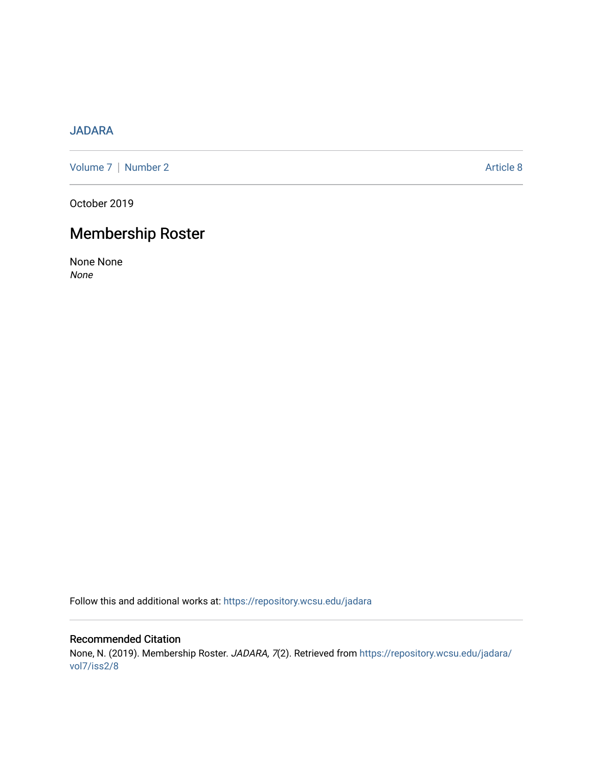# [JADARA](https://repository.wcsu.edu/jadara)

[Volume 7](https://repository.wcsu.edu/jadara/vol7) | [Number 2](https://repository.wcsu.edu/jadara/vol7/iss2) Article 8

October 2019

# Membership Roster

None None None

Follow this and additional works at: [https://repository.wcsu.edu/jadara](https://repository.wcsu.edu/jadara?utm_source=repository.wcsu.edu%2Fjadara%2Fvol7%2Fiss2%2F8&utm_medium=PDF&utm_campaign=PDFCoverPages)

Recommended Citation None, N. (2019). Membership Roster. JADARA, 7(2). Retrieved from [https://repository.wcsu.edu/jadara/](https://repository.wcsu.edu/jadara/vol7/iss2/8?utm_source=repository.wcsu.edu%2Fjadara%2Fvol7%2Fiss2%2F8&utm_medium=PDF&utm_campaign=PDFCoverPages) [vol7/iss2/8](https://repository.wcsu.edu/jadara/vol7/iss2/8?utm_source=repository.wcsu.edu%2Fjadara%2Fvol7%2Fiss2%2F8&utm_medium=PDF&utm_campaign=PDFCoverPages)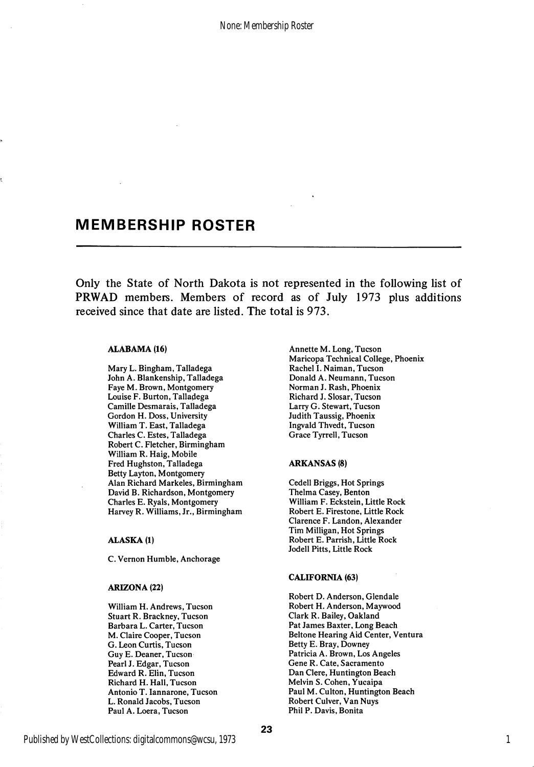None: Membership Roster

# MEMBERSHIP ROSTER

Only the State of North Dakota is not represented in the following list of PRWAD members. Members of record as of July 1973 plus additions received since that date are listed. The total is 973.

#### ALABAMA (16)

Mary L. Bingham, Talladega John A. Blankenship, Talladega Faye M. Brown, Montgomery Louise F. Burton, Talladega Camille Desmarais, Talladega Gordon H. Doss, University William T. East, Talladega Charles C. Estes, Talladega Robert C. Fletcher, Birmingham William R. Haig, Mobile Fred Hughston, Talladega Betty Layton, Montgomery Alan Richard Markeles, Birmingham David B. Richardson, Montgomery Charles E. Ryals, Montgomery Harvey R. Williams, Jr., Birmingham

#### ALASKA (1)

C. Vemon Humble, Anchorage

#### ARIZONA (22)

William H. Andrews, Tucson Stuart R. Brackney, Tucson Barbara L. Carter, Tucson M. Claire Cooper, Tucson G. Leon Curtis, Tucson Guy E. Deaner, Tucson Pearl J. Edgar, Tucson Edward R. Elin, Tucson Richard H. Hall, Tucson Antonio T. lannarone, Tucson L. Ronald Jacobs, Tucson Paul A. Loera, Tucson

Annette M. Long, Tucson Maricopa Technical College, Phoenix Rachel 1. Naiman, Tucson Donald A. Neumann, Tucson Norman J. Rash, Phoenix Richard J. Slosar, Tucson Larry G. Stewart, Tucson Judith Taussig, Phoenix Ingvald Thvedt, Tucson Grace Tyrrell, Tucson

#### ARKANSAS (8)

Cedell Briggs, Hot Springs Thelma Casey, Benton William F. Eckstein, Little Rock Robert E. Firestone, Little Rock Clarence F. Landon, Alexander Tim Milligan, Hot Springs Robert E. Parrish, Little Rock Jodell Pitts, Little Rock

#### CALIFORNIA (63)

Robert D. Anderson, Glendale Robert H. Anderson, Maywood Clark R. Bailey, Oakland Pat James Baxter, Long Beach Beltone Hearing Aid Center, Ventura Betty E. Bray, Downey Patricia A. Brown, Los Angeles Gene R. Gate, Sacramento Dan Clere, Huntington Beach Melvin S. Cohen, Yucaipa Paul M. Culton, Huntington Beach Robert Culver, Van Nuys Phil P. Davis, Bonita

1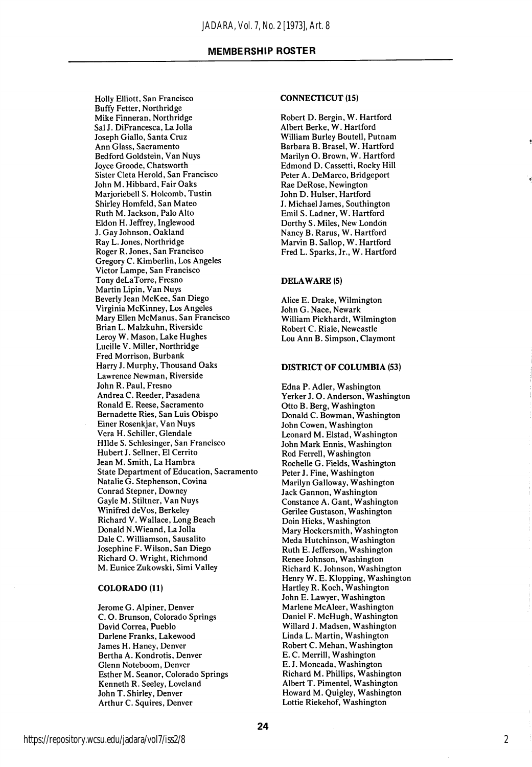Holly Elliott, San Francisco Buffy Fetter, Northridge Mike Finneran, Northridge Sal J. DiFrancesca, La Jolla Joseph Giallo, Santa Cruz Ann Glass, Sacramento Bedford Goldstein, Van Nuys Joyce Groode, Chatsworth Sister Cleta Herold, San Francisco John M. Hibbard, Fair Oaks Marjoriebell S. Holcomb, Tustin Shirley Homfeld, San Mateo Ruth M. Jackson, Palo Alto Eldon H. Jeffrey, Inglewood J. Gay Johnson, Oakland Ray L. Jones, Northridge Roger R. Jones, San Francisco Gregory C. Kimberlin, Los Angeles Victor Lampe, San Francisco Tony deLaTorre, Fresno Martin Lipin, Van Nuys Beverly Jean McKee, San Diego Virginia McKinney, Los Angeles Mary Ellen McManus, San Francisco Brian L. Malzkuhn, Riverside Leroy W. Mason, Lake Hughes Lucille V. Miller, Northridge Fred Morrison, Burbank Harry J. Murphy, Thousand Oaks Lawrence Newman, Riverside John R. Paul, Fresno Andrea C. Reeder, Pasadena Ronald E. Reese, Sacramento Bernadette Ries, San Luis Obispo Einer Rosenkjar, Van Nuys Vera H. Schiller, Glendale Hllde S. Schlesinger, San Francisco Hubert J. Sellner, El Cerrito Jean M. Smith, La Hambra State Department of Education, Sacramento Natalie G. Stephenson, Covina Conrad Stepner, Downey Gayle M. Stiltner, Van Nuys Winifred deVos, Berkeley Richard V. Wallace, Long Beach Donald N.Wieand, La Jolla Dale C. Williamson, Sausalito Josephine F. Wilson, San Diego Richard O. Wright, Richmond M. Eunice Zukowski, Simi Valley

#### COLORADO (11)

Jerome G. Alpiner, Denver C. O. Brunson, Colorado Springs David Correa, Pueblo Darlene Franks, Lakewood James H. Haney, Denver Bertha A. Kondrotis, Denver Glenn Noteboom, Denver Esther M. Seanor, Colorado Springs Kenneth R. Seeley, Loveland John T. Shirley, Denver Arthur C. Squires, Denver

#### CONNECTICUT (15)

Robert D. Bergin, W. Hartford Albert Berke, W. Hartford William Burley Boutell, Putnam Barbara B. Brasel, W. Hartford Marilyn O. Brown, W. Hartford Edmond D. Cassetti, Rocky Hill Peter A. DeMarco, Bridgeport Rae DeRose, Newington John D. Hulser, Hartford J. Michael James, Southington Emil S. Ladner, W. Hartford Dorthy S. Miles, New London Nancy B. Rarus, W. Hartford Marvin B. Sallop, W. Hartford Fred L. Sparks, Jr., W. Hartford

#### DELAWARE (5)

Alice E. Drake, Wilmington John G. Nace, Newark William Pickhardt, Wilmington Robert C. Riale, Newcastle Lou Ann B. Simpson, Claymont

#### DISTRICT OF COLUMBIA (53)

Edna P. Adler, Washington Yerker J. O. Anderson, Washington Otto B. Berg, Washington Donald C. Bowman, Washington John Cowen, Washington Leonard M. Elstad, Washington John Mark Ennis, Washington Rod Ferrell, Washington Rochelle G. Fields, Washington Peter J. Fine, Washington Marilyn Galloway, Washington Jack Gannon, Washington Constance A. Gant, Washington Gerilee Gustason, Washington Doin Hicks, Washington Mary Hockersmith, Washington Meda Hutchinson, Washington Ruth E. Jefferson, Washington Renee Johnson, Washington Richard K. Johnson, Washington Henry W. E. Klopping, Washington Hartley R. Koch, Washington John E. Lawyer, Washington Marlene McAleer, Washington Daniel F. McHugh, Washington Willard J. Madsen, Washington Linda L. Martin, Washington Robert C. Mehan, Washington E. C. Merrill, Washington E, J. Moncada, Washington Richard M. Phillips, Washington Albert T. Pimentel, Washington Howard M. Quigley, Washington Lottie Riekehof, Washington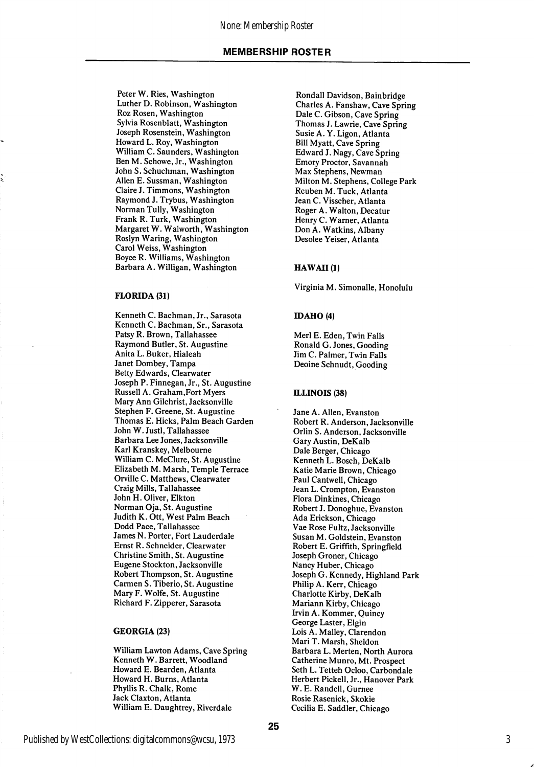Peter W. Ries, Washington Luther D. Robinson, Washington Roz Rosen, Washington Sylvia Rosenblatt, Washington Joseph Rosenstein, Washington Howard L. Roy, Washington William C. Saunders, Washington Ben M. Schowe, Jr., Washington John S. Schuchman, Washington Allen E. Sussman, Washington Claire J. Timmons, Washington Raymond J. Trybus, Washington Norman Tully, Washington Frank R. Turk, Washington Margaret W. Walworth, Washington Roslyn Waring, Washington Carol Weiss, Washington Boyce R. Williams, Washington Barbara A. Willigan, Washington

#### FLORIDA (31)

Kenneth C. Bachman, Jr., Sarasota Kenneth C. Bachman, Sr., Sarasota Patsy R. Brown, Tallahassee Raymond Butler, St. Augustine Anita L. Buker, Hialeah Janet Dombey, Tampa Betty Edwards, Clearwater Joseph P. Finnegan, Jr., St. Augustine Russell A. Graham,Fort Myers Mary Ann Gilchrist, Jacksonville Stephen F. Greene, St. Augustine Thomas E. Hicks, Palm Beach Garden John W. Justl, Tallahassee Barbara Lee Jones, Jacksonville Karl Kranskey, Melbourne William C. McClure, St. Augustine Elizabeth M. Marsh, Temple Terrace Orville C. Matthews, Clearwater Craig Mills, Tallahassee John H. Oliver, Elkton Norman Oja, St. Augustine Judith K. Ott, West Palm Beach Dodd Pace, Tallahassee James N. Porter, Fort Lauderdale Ernst R. Schneider, Clearwater Christine Smith, St. Augustine Eugene Stockton, Jacksonville Robert Thompson, St. Augustine Carmen S. Tiberio, St. Augustine Mary F. Wolfe, St. Augustine Richard F. Zipperer, Sarasota

#### GEORGIA (23)

William Lawton Adams, Cave Spring Kenneth W. Barrett, Woodland Howard E. Bearden, Atlanta Howard H. Burns, Atlanta Phyllis R. Chalk, Rome Jack Claxton, Atlanta William E. Daughtrey, Riverdale

Rondall Davidson, Bainbridge Charles A. Fanshaw, Cave Spring Dale C. Gibson, Cave Spring Thomas J. Lawrie, Cave Spring Susie A. Y. Ligon, Atlanta Bill Myatt, Cave Spring Edward J. Nagy, Cave Spring Emory Proctor, Savannah Max Stephens, Newman Milton M. Stephens, College Park Reuben M. Tuck, Atlanta Jean C. Visscher, Atlanta Roger A. Walton, Decatur Henry C. Warner, Atlanta Don A. Watkins, Albany Desolee Yeiser, Atlanta

#### HAWAII(1)

Virginia M. Simonalle, Honolulu

#### IDAHO (4)

Merl E. Eden, Twin Falls Ronald G. Jones, Gooding Jim C. Palmer, Twin Falls Deoine Schnudt, Gooding

#### ILLINOIS (38)

Jane A. Allen, Evanston Robert R. Anderson, Jacksonville Orlin S. Anderson, Jacksonville Gary Austin, DeKalb Dale Berger, Chicago Kenneth L. Bosch, DeKalb Katie Marie Brown, Chicago Paul Cantwell, Chicago Jean L. Crompton, Evanston Flora Dinkines, Chicago Robert J. Donoghue, Evanston Ada Erickson, Chicago Vae Rose Fultz, Jacksonville Susan M. Goldstein, Evanston Robert E. Griffith, Springfield Joseph Groner, Chicago Nancy Huber, Chicago Joseph G. Kennedy, Highland Park Philip A. Kerr, Chicago Charlotte Kirby, DeKalb Mariann Kirby, Chicago Irvin A. Kommer, Quincy George Laster, Elgin Lois A. Malley, Clarendon Mari T. Marsh, Sheldon Barbara L. Merten, North Aurora Catherine Munro, Mt. Prospect Seth L. Tetteh Ocloo, Carbondale Herbert Pickell, Jr., Hanover Park W. E. Randell, Gurnee Rosie Rasenick, Skokie Cecilia E. Saddler, Chicago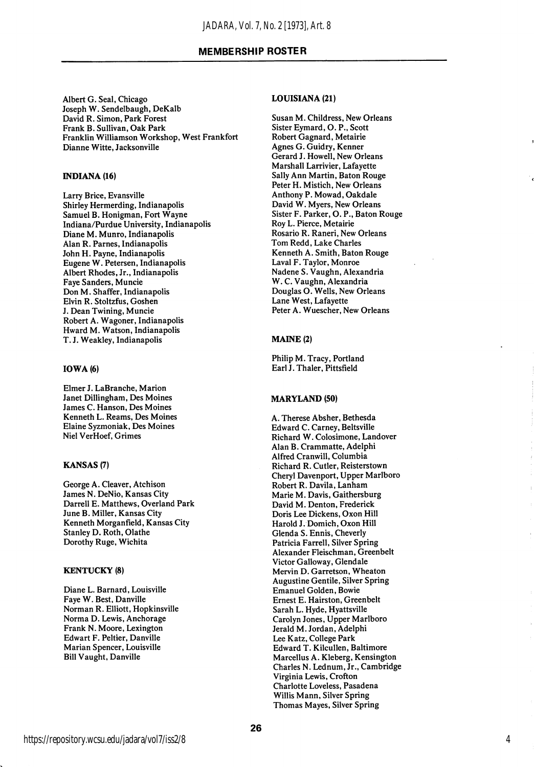Albert G. Seal, Chicago Joseph W. Sendelbaugh, DeKalb David R. Simon, Park Forest Frank B. Sullivan, Oak Park Franklin Williamson Workshop, West Frankfort Dianne Witte, Jacksonville

#### INDIANA (16)

Larry Brice, Evansville Shirley Hermerding, Indianapolis Samuel B. Honigman, Fort Wayne Indiana/Purdue University, Indianapolis Diane M. Munro, Indianapolis Alan R. Parnes, Indianapolis John H. Payne, Indianapolis Eugene W. Petersen, Indianapolis Albert Rhodes, Jr., Indianapolis Faye Sanders, Muncie Don M. Shaffer, Indianapolis Elvin R. Stoltzfus, Goshen J. Dean Twining, Muncie Robert A. Wagoner, Indianapolis Hward M. Watson, Indianapolis T. J. Weakley, Indianapolis

#### IOWA (6)

Elmer J. LaBranche, Marion Janet Dillingham, Des Moines James C. Hanson, Des Moines Kenneth L. Reams, Des Moines Elaine Syzmoniak, Des Moines Niel VerHoef, Grimes

#### KANSAS (7)

George A. Cleaver, Atchison James N. DeNio, Kansas City Darrell E. Matthews, Overland Park June B. Miller, Kansas City Kenneth Morganfield, Kansas City Stanley D. Roth, Olathe Dorothy Ruge, Wichita

#### KENTUCKY (8)

Diane L. Barnard, Louisville Faye W. Best, Danville Norman R. Elliott, Hopkinsville Norma D. Lewis, Anchorage Frank N. Moore, Lexington Edwart F. Peltier, Danville Marian Spencer, Louisville Bill Vaught, Danville

#### LOUISIANA (21)

Susan M. Childress, New Orleans Sister Eymard, O. P., Scott Robert Gagnard, Metairie Agnes G. Guidry, Kenner Gerard J. Howell, New Orleans Marshall Larrivier, Lafayette Sally Ann Martin, Baton Rouge Peter H. Mistich, New Orleans Anthony P. Mowad, Oakdale David W. Myers, New Orleans Sister F. Parker, O. P., Baton Rouge Roy L. Pierce, Metairie Rosario R. Raneri, New Orleans Tom Redd, Lake Charles Kenneth A. Smith, Baton Rouge Laval F. Taylor, Monroe Nadene S. Vaughn, Alexandria W. C. Vaughn, Alexandria Douglas O. Wells, New Orleans Lane West, Lafayette Peter A. Wuescher, New Orleans

#### MAINE (2)

Philip M. Tracy, Portland Earl J. Thaler, Pittsfield

#### MARYLAND (50)

A. Therese Absher, Bethesda Edward C. Carney, Beltsville Richard W. Colosimone, Landover Alan B. Crammatte, Adelphi Alfred Cranwill, Columbia Richard R. Cutler, Reisterstown Cheryl Davenport, Upper Marlboro Robert R. Davila, Lanham Marie M. Davis, Gaithersburg David M. Denton, Frederick Doris Lee Dickens, Oxon Hill Harold J. Domich, Oxon Hill Glenda S. Ennis, Cheverly Patricia Farrell, Silver Spring Alexander Fleischman, Greenbelt Victor Galloway, Glendale Mervin D. Garretson, Wheaton Augustine Gentile, Silver Spring Emanuel Golden, Bowie Ernest E. Hairston, Greenbelt Sarah L. Hyde, Hyattsville Carolyn Jones, Upper Marlboro Jerald M. Jordan, Adelphi Lee Katz, College Park Edward T. Kilcullen, Baltimore Marcellus A. Kleberg, Kensington Charles N. Lednum, Jr., Cambridge Virginia Lewis, Crofton Charlotte Loveless, Pasadena Willis Mann, Silver Spring Thomas Mayes, Silver Spring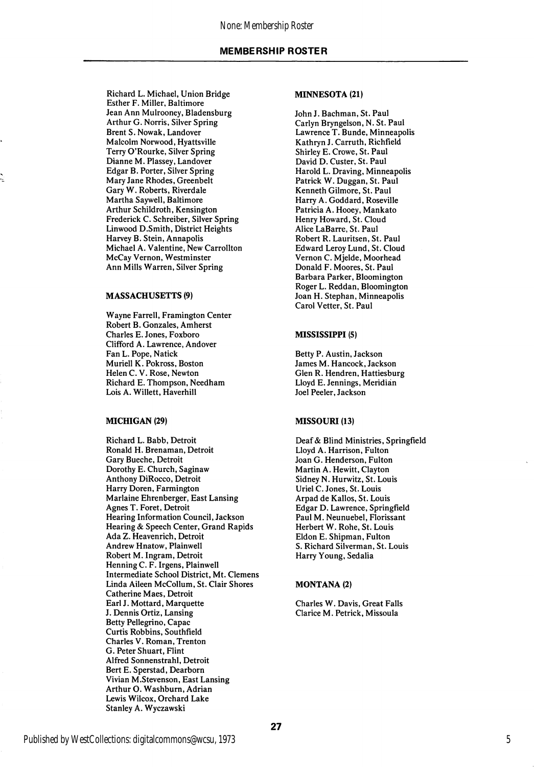Richard L. Michael, Union Bridge Esther F. Miller, Baltimore Jean Ann Mulrooney, Bladensburg Arthur G. Norris, Silver Spring Brent S. Nowak, Landover Malcolm Norwood, Hyattsville Terry O'Rourke, Silver Spring Dianne M. Plassey, Landover Edgar B. Porter, Silver Spring Mary Jane Rhodes, Greenbelt Gary W. Roberts, Riverdale Martha Saywell, Baltimore Arthur Schildroth, Kensington Frederick C. Schreiber, Silver Spring Linwood D.Smith, District Heights Harvey B. Stein, Annapolis Michael A. Valentine, New Carrollton McCay Vernon, Westminster Ann Mills Warren, Silver Spring

#### MASSACHUSETTS (9)

Wayne Farrell, Framington Center Robert B. Gonzales, Amherst Charles E. Jones, Foxboro Clifford A. Lawrence, Andover Fan L. Pope, Natick Muriell K. Pokross, Boston Helen C. V. Rose, Newton Richard E. Thompson, Needham Lois A. Willett, Haverhill

#### MICHIGAN (29) MISSOURI (13)

Richard L. Babb, Detroit Ronald H. Brenaman, Detroit Gary Bueche, Detroit Dorothy E. Church, Saginaw Anthony DiRocco, Detroit Harry Doren, Farmington Marlaine Ehrenberger, East Lansing Agnes T. Foret, Detroit Hearing Information Council, Jackson Hearing & Speech Center, Grand Rapids Ada Z. Heavenrich, Detroit Andrew Hnatow, Plainwell Robert M. Ingram, Detroit Henning C. F. Irgens, Plainwell Intermediate School District, Mt. Clemens Linda Aileen McCollum, St. Clair Shores Catherine Maes, Detroit Earl J. Mottard, Marquette J. Dennis Ortiz, Lansing Betty Pellegrino, Capac Curtis Robbins, Southfield Charles V. Roman, Trenton G. Peter Shuart, Flint Alfred Sonnenstrahl, Detroit Bert E. Sperstad, Dearborn Vivian M.Stevenson, East Lansing Arthur O. Washburn, Adrian Lewis Wilcox, Orchard Lake Stanley A. Wyczawski

#### MINNESOTA (21)

John J. Bachman, St. Paul Carlyn Bryngelson, N. St. Paul Lawrence T. Bunde, Minneapolis Kathryn J. Carruth, Richfield Shirley E. Crowe, St. Paul David D. Custer, St. Paul Harold L. Draving, Minneapolis Patrick W. Duggan, St. Paul Kenneth Gilmore, St. Paul Harry A. Goddard, Roseville Patricia A. Hooey, Mankato Henry Howard, St. Cloud Alice LaBarre, St. Paul Robert R. Lauritsen, St. Paul Edward Leroy Lund, St. Cloud Vernon C. Mjelde, Moorhead Donald F. Moores, St. Paul Barbara Parker, Bloomington Roger L. Reddan, Bloomington Joan H. Stephan, Minneapolis Carol Vetter, St. Paul

#### MISSISSIPPI (5)

Betty P. Austin, Jackson James M. Hancock, Jackson Glen R. Hendren, Hattiesburg Lloyd E. Jennings, Meridian Joel Peeler, Jackson

Deaf & Blind Ministries, Springfield Lloyd A. Harrison, Fulton Joan G. Henderson, Fulton Martin A. Hewitt, Clayton Sidney N. Hurwitz, St. Louis Uriel C. Jones, St. Louis Arpad de Kallos, St. Louis Edgar D. Lawrence, Springfield Paul M. Neunuebel, Florissant Herbert W. Rohe, St. Louis Eldon E. Shipman, Fulton S. Richard Silverman, St. Louis Harry Young, Sedalia

#### MONTANA (2)

Charles W. Davis, Great Falls Clarice M. Petrick, Missoula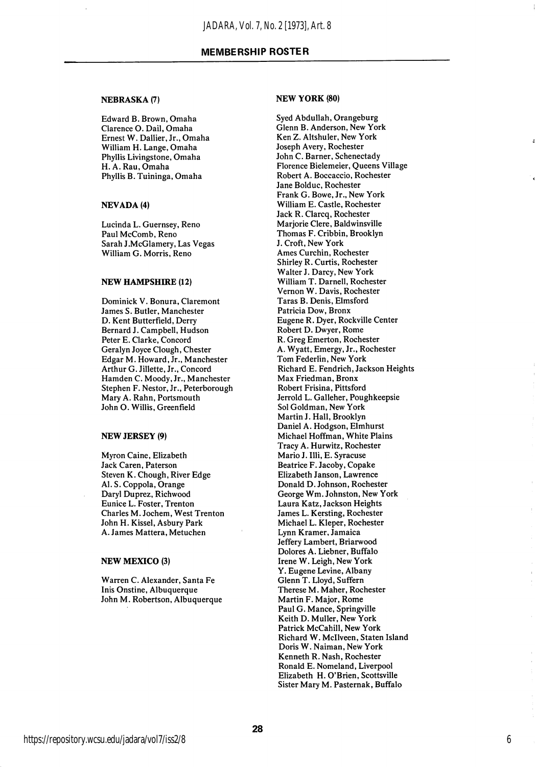#### NEBRASKA (7)

Edward B. Brown, Omaha Clarence O. Dail, Omaha Ernest W. Dallier, Jr., Omaha William H. Lange, Omaha Phyllis Livingstone, Omaha H. A. Rau, Omaha Phyllis B. Tuininga, Omaha

#### NEVADA (4)

Lucinda L. Guernsey, Reno Paul McComb, Reno Sarah J.McGlamery, Las Vegas William G. Morris, Reno

#### NEW HAMPSHIRE (12)

Dominick V. Bonura, Claremont James S. Butler, Manchester D. Kent Butterfield, Derry Bernard J. Campbell, Hudson Peter E. Clarke, Concord Geralyn Joyce Clough, Chester Edgar M. Howard, Jr., Manchester Arthur G. Jillette, Jr., Concord Hamden C. Moody, Jr., Manchester Stephen P. Nestor, Jr., Peterborough Mary A. Rahn, Portsmouth John O. Willis, Greenfield

#### NEW JERSEY (9)

Myron Caine, Elizabeth Jack Caren, Paterson Steven K. Chough, River Edge Al. S. Coppola, Orange Daryl Duprez, Richwood Eunice L. Foster, Trenton Charles M. Jochem, West Trenton John H. Kissel, Asbury Park A. James Mattera, Metuchen

#### NEW MEXICO (3)

Warren C. Alexander, Santa Fe Inis Onstine, Albuquerque John M. Robertson, Albuquerque

#### NEW YORK (80)

Syed Abdullah, Orangeburg Glenn B. Anderson, New York Ken Z. Altshuler, New York Joseph Avery, Rochester John C. Barner, Schenectady Florence Bielemeier, Queens Village Robert A. Boccaccio, Rochester Jane Bolduc, Rochester Frank G. Bowe, Jr., New York William E. Castle, Rochester Jack R. Clarcq, Rochester Marjorie Clere, Baldwinsville Thomas F. Cribbin, Brooklyn J. Croft, New York Ames Curchin, Rochester Shirley R. Curtis, Rochester Walter J. Darcy, New York William T. Darnell, Rochester Vemon W. Davis, Rochester Taras B. Denis, Elmsford Patricia Dow, Bronx Eugene R. Dyer, Rockville Center Robert D. Dwyer, Rome R. Greg Emerton, Rochester A. Wyatt, Emergy, Jr., Rochester Tom Federlin, New York Richard E. Fendrich, Jackson Heights Max Friedman, Bronx Robert Frisina, Pittsford Jerrold L. Galleher, Poughkeepsie Sol Goldman, New York Martin J. Hall, Brooklyn Daniel A. Hodgson, Elmhurst Michael Hoffman, White Plains Tracy A. Hurwitz, Rochester Mario J. Illi, E. Syracuse Beatrice F. Jacoby, Copake Elizabeth Janson, Lawrence Donald D. Johnson, Rochester George Wm. Johnston, New York Laura Katz, Jackson Heights James L. Kersting, Rochester Michael L. Kleper, Rochester Lynn Kramer, Jamaica Jeffery Lambert, Briarwood Dolores A. Liebner, Buffalo Irene W. Leigh, New York Y. Eugene Levine, Albany Glenn T. Lloyd, Suffern Therese M. Maher, Rochester Martin F. Major, Rome Paul G. Mance, Springville Keith D. Muller, New York Patrick McCahill, New York Richard W. Mcllveen, Staten Island Doris W. Naiman, New York Kenneth R. Nash, Rochester Ronald E. Nomeland, Liverpool Elizabeth H. O'Brien, Scottsville Sister Mary M. Pasternak, Buffalo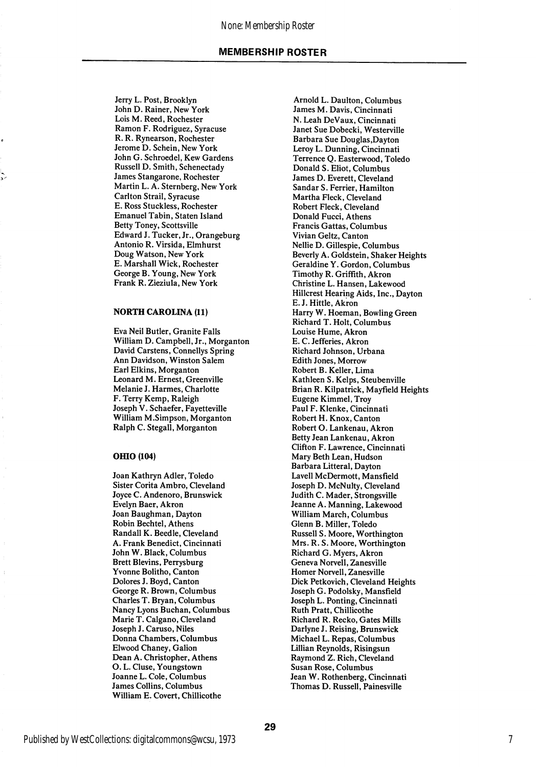#### None: Membership Roster

#### MEMBERSHIP ROSTER

Jerry L. Post, Brooklyn John D. Rainer, New York Lois M. Reed, Rochester Ramon F. Rodriguez, Syracuse R. R. Rynearson, Rochester Jerome D. Schein, New York John G. Schroedel, Kew Gardens Russell D. Smith, Schenectady James Stangarone, Rochester Martin L. A. Sternberg, New York Carlton Strail, Syracuse E. Ross Stuckless, Rochester Emanuel Tabin, Staten Island Betty Toney, Scottsville Edward J. Tucker, Jr., Orangeburg Antonio R. Virsida, Elmhurst Doug Watson, New York E. Marshall Wick, Rochester George B. Young, New York Frank R. Zieziula, New York

#### NORTH CAROLINA (11)

Eva Neil Butler, Granite Falls William D. Campbell, Jr., Morganton David Carstens, Connellys Spring Ann Davidson, Winston Salem Earl Elkins, Morganton Leonard M. Ernest, Greenville Melanie J. Harmes, Charlotte F. Terry Kemp, Raleigh Joseph V. Schaefer, Fayetteville William M.Simpson, Morganton Ralph C. Stegall, Morganton

#### OHIO (104)

Joan Kathryn Adler, Toledo Sister Corita Ambro, Cleveland Joyce C. Andenoro, Brunswick Evelyn Baer, Akron Joan Baughman, Dayton Robin Bechtel, Athens Randall K. Beedle, Cleveland A. Frank Benedict, Cincinnati John W. Black, Columbus Brett Blevins, Perrysburg Yvonne Bolitho, Canton Dolores J. Boyd, Canton George R. Brown, Columbus Charles T. Bryan, Columbus Nancy Lyons Buchan, Columbus Marie T. Calgano, Cleveland Joseph J. Caruso, Niles Donna Chambers, Columbus Elwood Chaney, Gallon Dean A. Christopher, Athens O. L. Cluse, Youngstown Joanne L. Cole, Columbus James Collins, Columbus William E. Covert, Chillicothe

Arnold L. Daulton, Columbus James M. Davis, Cincinnati N. Leah DeVaux, Cincinnati Janet Sue Dobecki, Westerville Barbara Sue Douglas,Dayton Leroy L. Dunning, Cincinnati Terrence Q. Easterwood, Toledo Donald S. Eliot, Columbus James D. Everett, Cleveland Sandar S. Ferrier, Hamilton Martha Fleck, Cleveland Robert Fleck, Cleveland Donald Fucci, Athens Francis Gattas, Columbus Vivian Geltz, Canton Nellie D. Gillespie, Columbus Beverly A. Goldstein, Shaker Heights Geraldine Y. Gordon, Columbus Timothy R. Griffith, Akron Christine L. Hansen, Lakewood Hillcrest Hearing Aids, Inc., Dayton E. J. Hittle, Akron Harry W. Hoeman, Bowling Green Richard T. Holt, Columbus Louise Hume, Akron E. C. Jefferies, Akron Richard Johnson, Urbana Edith Jones, Morrow Robert B. Keller, Lima Kathleen S. Kelps, Steubenville Brian R. Kilpatrick, Mayfield Heights Eugene Kimmel, Troy Paul F. Klenke, Cincinnati Robert H. Knox, Canton Robert O. Lankenau, Akron Betty Jean Lankenau, Akron Clifton F. Lawrence, Cincinnati Mary Beth Lean, Hudson Barbara Litteral, Dayton Lavell McDermott, Mansfield Joseph D. McNulty, Cleveland Judith C. Mader, Strongsville Jeanne A. Manning, Lakewood William March, Columbus Glenn B. Miller, Toledo Russell S. Moore, Worthington Mrs. R. S. Moore, Worthington Richard G. Myers, Akron Geneva Norvell, Zanesville Homer Norvell, Zanesville Dick Petkovich, Cleveland Heights Joseph G. Podolsky, Mansfield Joseph L. Ponting, Cincinnati Ruth Pratt, Chillicothe Richard R. Recko, Gates Mills Darlyne J. Reising, Brunswick Michael L. Repas, Columbus Lillian Reynolds, Risingsun Raymond Z. Rich, Cleveland Susan Rose, Columbus Jean W. Rothenberg, Cincinnati Thomas D. Russell, Painesville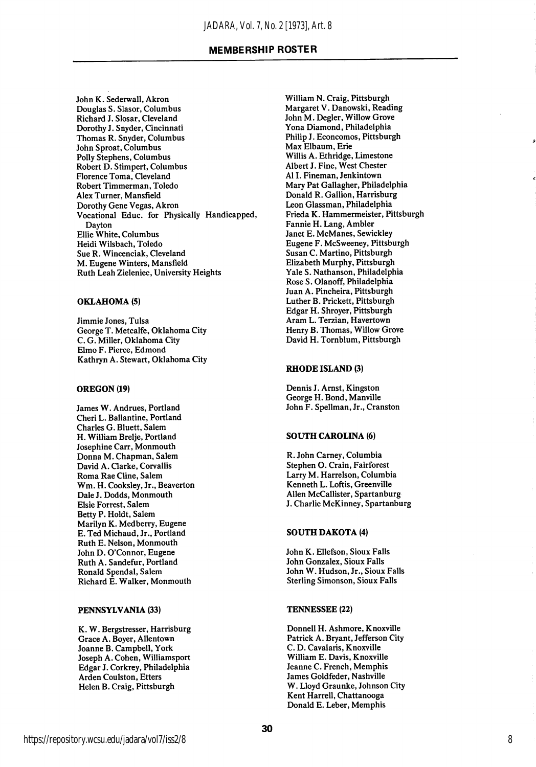John K. Sederwall, Akron Douglas S. Slasor, Columbus Richard J. Slosar, Cleveland Dorothy J. Snyder, Cincinnati Thomas R. Snyder, Columbus John Sproat, Columbus Polly Stephens, Columbus Robert D. Stimpert, Columbus Florence Toma, Cleveland Robert Timmerman, Toledo Alex Turner, Mansfield Dorothy Gene Vegas, Akron Vocational Educ. for Physically Handicapped, Dayton Ellie White, Columbus Heidi Wilsbach, Toledo Sue R. Wincenciak, Cleveland M. Eugene Winters, Mansfield Ruth Leah Zieleniec, University Heights

#### OKLAHOMA (5)

Jimmie Jones, Tulsa George T. Metcalfe, Oklahoma City C. G. Miller, Oklahoma City Elmo F, Pierce, Edmond Kathryn A. Stewart, Oklahoma City

#### OREGON (19)

James W. Andrues, Portland Cheri L. Ballantine, Portland Charles G. Bluett, Salem H. William Brelje, Portland Josephine Carr, Monmouth Donna M. Chapman, Salem David A. Clarke, Corvallis Roma Rae Cline, Salem Wm. H. Cooksley, Jr., Beaverton Dale J. Dodds, Monmouth Elsie Forrest, Salem Betty P. Holdt, Salem Marilyn K. Medberry, Eugene E. Ted Michaud, Jr., Portland Ruth E. Nelson, Monmouth John D. O'Connor, Eugene Ruth A. Sandefur, Portland Ronald Spendal, Salem Richard E. Walker, Monmouth

#### PENNSYLVANIA (33)

K. W. Bergstresser, Harrisburg Grace A. Boyer, Allentown Joanne B. Campbell, York Joseph A. Cohen, Williamsport Edgar J. Corkrey, Philadelphia Arden Coulston, Etters Helen B. Craig, Pittsburgh

William N. Craig, Pittsburgh Margaret V. Danowski, Reading John M. Degler, Willow Grove Yona Diamond, Philadelphia Philip J. Econcomos, Pittsburgh Max Elbaum, Erie Willis A. Ethridge, Limestone Albert J. Fine, West Chester A11. Fineman, Jenkintown Mary Pat Gallagher, Philadelphia Donald R. Gallion, Harrisburg Leon Glassman, Philadelphia Frieda K. Hammermeister, Pittsburgh Fannie H. Lang, Ambler Janet E. McManes, Sewickley Eugene F. McSweeney, Pittsburgh Susan C. Martino, Pittsburgh Elizabeth Murphy, Pittsburgh Yale S. Nathanson, Philadelphia Rose S. Olanoff, Philadelphia Juan A. Pincheira, Pittsburgh Luther B. Prickett, Pittsburgh Edgar H. Shroyer, Pittsburgh Aram L. Terzian, Havertown Henry B. Thomas, Willow Grove David H. Tornblum, Pittsburgh

#### RHODE ISLAND (3)

Dennis J. Amst, Kingston George H. Bond, Manville John F. Spellman, Jr., Cranston

#### SOUTH CAROLINA (6)

R. John Carney, Columbia Stephen O. Crain, Fairforest Larry M. Harrelson, Columbia Kenneth L. Loftis, Greenville Allen McCallister, Spartanburg J. Charlie McKinney, Spartanburg

#### SOUTH DAKOTA (4)

John K. Ellefson, Sioux Falls John Gonzalex, Sioux Falls John W. Hudson, Jr., Sioux Falls Sterling Simonson, Sioux Falls

#### TENNESSEE (22)

Donnell H. Ashmore, Knoxville Patrick A. Bryant, Jefferson City C. D. Cavalaris, Knoxville William E. Davis, Knoxville Jeanne C. French, Memphis James Goldfeder, Nashville W. Lloyd Graunke, Johnson City Kent Harrell, Chattanooga Donald E. Leber, Memphis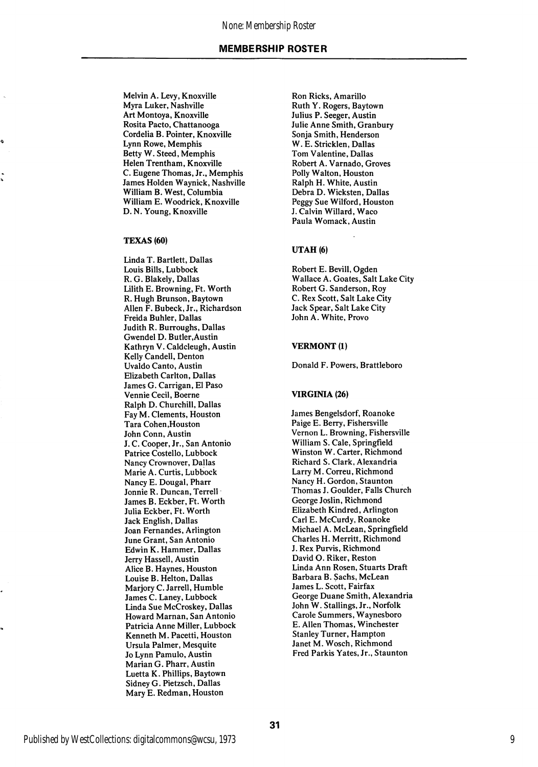Melvin A. Levy, Knoxville Myra Luker, Nashville Art Montoya, Knoxville Rosita Pacto, Chattanooga Cordelia B. Pointer, Knoxville Lynn Rowe, Memphis Betty W. Steed, Memphis Helen Trentham, Knoxville C. Eugene Thomas, Jr., Memphis James Holden Waynick, Nashville William B. West, Columbia William E. Woodrick, Knoxville D. N. Young, Knoxville

#### TEXAS (60)

e,

Linda T. Bartlett, Dallas Louis Bills, Lubbock R. G. Blakely, Dallas Lilith E. Browning, Ft. Worth R. Hugh Brunson, Baytown Allen F. Bubeck, Jr., Richardson Freida Buhler, Dallas Judith R. Burroughs, Dallas Gwendel D. Butler,Austin Kathryn V. Caldcleugh, Austin Kelly Candell, Denton Uvaldo Canto, Austin Elizabeth Carlton, Dallas James G. Carrigan, El Paso Vennie Cecil, Boerne Ralph D. Churchill, Dallas Fay M. Clements, Houston Tara Cohen,Houston John Conn, Austin J. C. Cooper, Jr., San Antonio Patrice Costello, Lubbock Nancy Crownover, Dallas Marie A. Curtis, Lubbock Nancy E. Dougal, Pharr Jonnie R. Duncan, Terrell James B. Eckber, Ft. Worth Julia Eckber, Ft. Worth Jack English, Dallas Joan Fernandes, Arlington June Grant, San Antonio Edwin K. Hammer, Dallas Jerry Hassell, Austin Alice B. Haynes, Houston Louise B. Helton, Dallas Marjory C. Jarrell, Humble James C. Laney, Lubbock Linda Sue McCroskey, Dallas Howard Marnan, San Antonio Patricia Anne Miller, Lubbock Kenneth M. Pacetti, Houston Ursula Palmer, Mesquite Jo Lynn Pamulo, Austin Marian G. Pharr, Austin Luetta K. Phillips, Baytown Sidney G. Pietzsch, Dallas Mary E. Redman, Houston

Ron Ricks, Amarillo Ruth Y. Rogers, Baytown Julius P. Seeger, Austin Julie Anne Smith, Granbury Sonja Smith, Henderson W. E. Stricklen, Dallas Tom Valentine, Dallas Robert A. Varnado, Groves Polly Walton, Houston Ralph H. White, Austin Debra D. Wicksten, Dallas Peggy Sue Wilford, Houston J. Calvin Willard, Waco Paula Womack, Austin

#### UTAH (6)

Robert E. Bevill, Ogden Wallace A. Goates, Salt Lake City Robert G. Sanderson, Roy C. Rex Scott, Salt Lake City Jack Spear, Salt Lake City John A. White, Provo

#### VERMONT (1)

Donald F. Powers, Brattleboro

#### VIRGINIA (26)

James Bengelsdorf, Roanoke Paige E. Berry, Fishersville Vernon L. Browning, Fishersville William S. Cale, Springfield Winston W. Carter, Richmond Richard S. Clark, Alexandria Larry M. Correu, Richmond Nancy H. Gordon, Staunton Thomas J. Goulder, Falls Church George Joslin, Richmond Elizabeth Kindred, Arlington Carl E. McCurdy, Roanoke Michael A. McLean, Springfield Charles H. Merritt, Richmond J. Rex Purvis, Richmond David O. Riker, Reston Linda Ann Rosen, Stuarts Draft Barbara B. Sachs, McLean James L. Scott, Fairfax George Duane Smith, Alexandria John W. Stallings, Jr., Norfolk Carole Summers, Waynesboro E. Allen Thomas, Winchester Stanley Turner, Hampton Janet M. Wosch, Richmond Fred Parkis Yates, Jr., Staunton